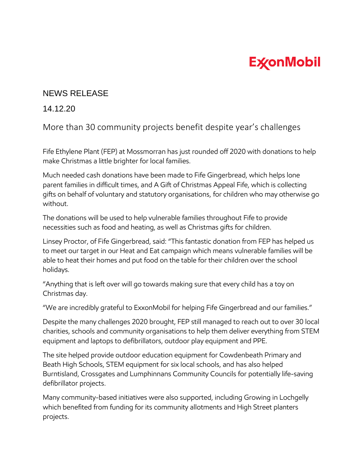## **ExconMobil**

## NEWS RELEASE

## 14.12.20

More than 30 community projects benefit despite year's challenges

Fife Ethylene Plant (FEP) at Mossmorran has just rounded off 2020 with donations to help make Christmas a little brighter for local families.

Much needed cash donations have been made to Fife Gingerbread, which helps lone parent families in difficult times, and A Gift of Christmas Appeal Fife, which is collecting gifts on behalf of voluntary and statutory organisations, for children who may otherwise go without.

The donations will be used to help vulnerable families throughout Fife to provide necessities such as food and heating, as well as Christmas gifts for children.

Linsey Proctor, of Fife Gingerbread, said: "This fantastic donation from FEP has helped us to meet our target in our Heat and Eat campaign which means vulnerable families will be able to heat their homes and put food on the table for their children over the school holidays.

"Anything that is left over will go towards making sure that every child has a toy on Christmas day.

"We are incredibly grateful to ExxonMobil for helping Fife Gingerbread and our families."

Despite the many challenges 2020 brought, FEP still managed to reach out to over 30 local charities, schools and community organisations to help them deliver everything from STEM equipment and laptops to defibrillators, outdoor play equipment and PPE.

The site helped provide outdoor education equipment for Cowdenbeath Primary and Beath High Schools, STEM equipment for six local schools, and has also helped Burntisland, Crossgates and Lumphinnans Community Councils for potentially life-saving defibrillator projects.

Many community-based initiatives were also supported, including Growing in Lochgelly which benefited from funding for its community allotments and High Street planters projects.